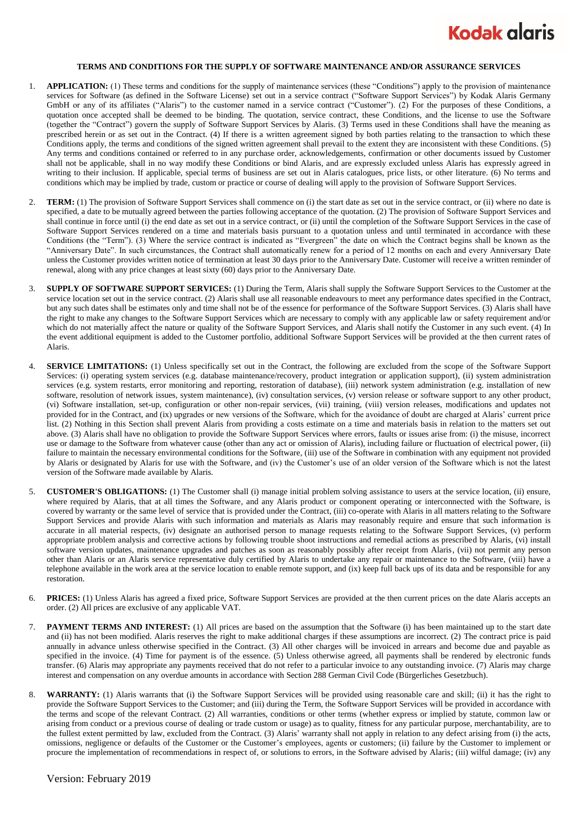

## **TERMS AND CONDITIONS FOR THE SUPPLY OF SOFTWARE MAINTENANCE AND/OR ASSURANCE SERVICES**

- 1. **APPLICATION:** (1) These terms and conditions for the supply of maintenance services (these "Conditions") apply to the provision of maintenance services for Software (as defined in the Software License) set out in a service contract ("Software Support Services") by Kodak Alaris Germany GmbH or any of its affiliates ("Alaris") to the customer named in a service contract ("Customer"). (2) For the purposes of these Conditions, a quotation once accepted shall be deemed to be binding. The quotation, service contract, these Conditions, and the license to use the Software (together the "Contract") govern the supply of Software Support Services by Alaris. (3) Terms used in these Conditions shall have the meaning as prescribed herein or as set out in the Contract. (4) If there is a written agreement signed by both parties relating to the transaction to which these Conditions apply, the terms and conditions of the signed written agreement shall prevail to the extent they are inconsistent with these Conditions. (5) Any terms and conditions contained or referred to in any purchase order, acknowledgements, confirmation or other documents issued by Customer shall not be applicable, shall in no way modify these Conditions or bind Alaris, and are expressly excluded unless Alaris has expressly agreed in writing to their inclusion. If applicable, special terms of business are set out in Alaris catalogues, price lists, or other literature. (6) No terms and conditions which may be implied by trade, custom or practice or course of dealing will apply to the provision of Software Support Services.
- 2. **TERM:** (1) The provision of Software Support Services shall commence on (i) the start date as set out in the service contract, or (ii) where no date is specified, a date to be mutually agreed between the parties following acceptance of the quotation. (2) The provision of Software Support Services and shall continue in force until (i) the end date as set out in a service contract, or (ii) until the completion of the Software Support Services in the case of Software Support Services rendered on a time and materials basis pursuant to a quotation unless and until terminated in accordance with these Conditions (the "Term"). (3) Where the service contract is indicated as "Evergreen" the date on which the Contract begins shall be known as the "Anniversary Date". In such circumstances, the Contract shall automatically renew for a period of 12 months on each and every Anniversary Date unless the Customer provides written notice of termination at least 30 days prior to the Anniversary Date. Customer will receive a written reminder of renewal, along with any price changes at least sixty (60) days prior to the Anniversary Date.
- 3. **SUPPLY OF SOFTWARE SUPPORT SERVICES:** (1) During the Term, Alaris shall supply the Software Support Services to the Customer at the service location set out in the service contract. (2) Alaris shall use all reasonable endeavours to meet any performance dates specified in the Contract, but any such dates shall be estimates only and time shall not be of the essence for performance of the Software Support Services. (3) Alaris shall have the right to make any changes to the Software Support Services which are necessary to comply with any applicable law or safety requirement and/or which do not materially affect the nature or quality of the Software Support Services, and Alaris shall notify the Customer in any such event. (4) In the event additional equipment is added to the Customer portfolio, additional Software Support Services will be provided at the then current rates of Alaris.
- 4. **SERVICE LIMITATIONS:** (1) Unless specifically set out in the Contract, the following are excluded from the scope of the Software Support Services: (i) operating system services (e.g. database maintenance/recovery, product integration or application support), (ii) system administration services (e.g. system restarts, error monitoring and reporting, restoration of database), (iii) network system administration (e.g. installation of new software, resolution of network issues, system maintenance), (iv) consultation services, (v) version release or software support to any other product, (vi) Software installation, set-up, configuration or other non-repair services, (vii) training, (viii) version releases, modifications and updates not provided for in the Contract, and (ix) upgrades or new versions of the Software, which for the avoidance of doubt are charged at Alaris' current price list. (2) Nothing in this Section shall prevent Alaris from providing a costs estimate on a time and materials basis in relation to the matters set out above. (3) Alaris shall have no obligation to provide the Software Support Services where errors, faults or issues arise from: (i) the misuse, incorrect use or damage to the Software from whatever cause (other than any act or omission of Alaris), including failure or fluctuation of electrical power, (ii) failure to maintain the necessary environmental conditions for the Software, (iii) use of the Software in combination with any equipment not provided by Alaris or designated by Alaris for use with the Software, and (iv) the Customer's use of an older version of the Software which is not the latest version of the Software made available by Alaris.
- 5. **CUSTOMER'S OBLIGATIONS:** (1) The Customer shall (i) manage initial problem solving assistance to users at the service location, (ii) ensure, where required by Alaris, that at all times the Software, and any Alaris product or component operating or interconnected with the Software, is covered by warranty or the same level of service that is provided under the Contract, (iii) co-operate with Alaris in all matters relating to the Software Support Services and provide Alaris with such information and materials as Alaris may reasonably require and ensure that such information is accurate in all material respects, (iv) designate an authorised person to manage requests relating to the Software Support Services, (v) perform appropriate problem analysis and corrective actions by following trouble shoot instructions and remedial actions as prescribed by Alaris, (vi) install software version updates, maintenance upgrades and patches as soon as reasonably possibly after receipt from Alaris, (vii) not permit any person other than Alaris or an Alaris service representative duly certified by Alaris to undertake any repair or maintenance to the Software, (viii) have a telephone available in the work area at the service location to enable remote support, and (ix) keep full back ups of its data and be responsible for any restoration.
- 6. **PRICES:** (1) Unless Alaris has agreed a fixed price, Software Support Services are provided at the then current prices on the date Alaris accepts an order. (2) All prices are exclusive of any applicable VAT.
- 7. **PAYMENT TERMS AND INTEREST:** (1) All prices are based on the assumption that the Software (i) has been maintained up to the start date and (ii) has not been modified. Alaris reserves the right to make additional charges if these assumptions are incorrect. (2) The contract price is paid annually in advance unless otherwise specified in the Contract. (3) All other charges will be invoiced in arrears and become due and payable as specified in the invoice. (4) Time for payment is of the essence. (5) Unless otherwise agreed, all payments shall be rendered by electronic funds transfer. (6) Alaris may appropriate any payments received that do not refer to a particular invoice to any outstanding invoice. (7) Alaris may charge interest and compensation on any overdue amounts in accordance with Section 288 German Civil Code (Bürgerliches Gesetzbuch).
- 8. **WARRANTY:** (1) Alaris warrants that (i) the Software Support Services will be provided using reasonable care and skill; (ii) it has the right to provide the Software Support Services to the Customer; and (iii) during the Term, the Software Support Services will be provided in accordance with the terms and scope of the relevant Contract. (2) All warranties, conditions or other terms (whether express or implied by statute, common law or arising from conduct or a previous course of dealing or trade custom or usage) as to quality, fitness for any particular purpose, merchantability, are to the fullest extent permitted by law, excluded from the Contract. (3) Alaris' warranty shall not apply in relation to any defect arising from (i) the acts, omissions, negligence or defaults of the Customer or the Customer's employees, agents or customers; (ii) failure by the Customer to implement or procure the implementation of recommendations in respect of, or solutions to errors, in the Software advised by Alaris; (iii) wilful damage; (iv) any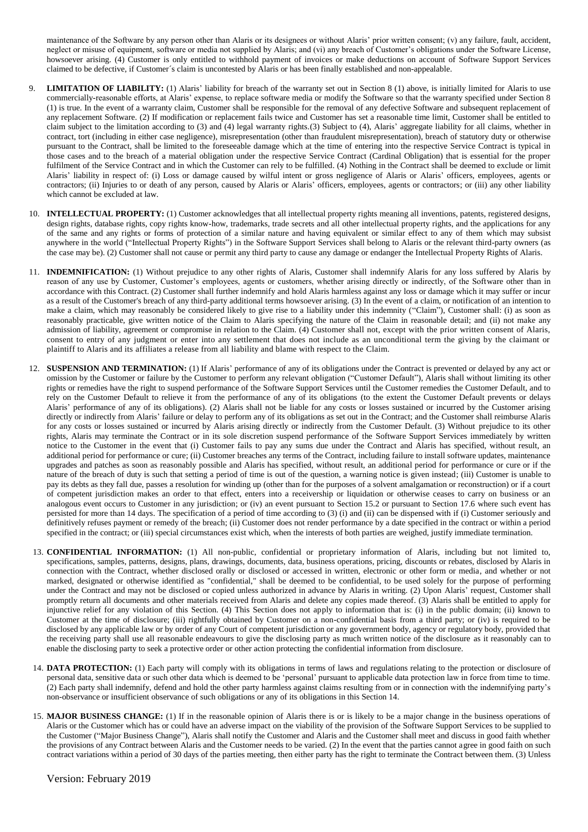maintenance of the Software by any person other than Alaris or its designees or without Alaris' prior written consent; (v) any failure, fault, accident, neglect or misuse of equipment, software or media not supplied by Alaris; and (vi) any breach of Customer's obligations under the Software License, howsoever arising. (4) Customer is only entitled to withhold payment of invoices or make deductions on account of Software Support Services claimed to be defective, if Customer´s claim is uncontested by Alaris or has been finally established and non-appealable.

- **LIMITATION OF LIABILITY:** (1) Alaris' liability for breach of the warranty set out in Section 8 (1) above, is initially limited for Alaris to use commercially-reasonable efforts, at Alaris' expense, to replace software media or modify the Software so that the warranty specified under Section 8 (1) is true. In the event of a warranty claim, Customer shall be responsible for the removal of any defective Software and subsequent replacement of any replacement Software. (2) If modification or replacement fails twice and Customer has set a reasonable time limit, Customer shall be entitled to claim subject to the limitation according to (3) and (4) legal warranty rights.(3) Subject to (4), Alaris' aggregate liability for all claims, whether in contract, tort (including in either case negligence), misrepresentation (other than fraudulent misrepresentation), breach of statutory duty or otherwise pursuant to the Contract, shall be limited to the foreseeable damage which at the time of entering into the respective Service Contract is typical in those cases and to the breach of a material obligation under the respective Service Contract (Cardinal Obligation) that is essential for the proper fulfilment of the Service Contract and in which the Customer can rely to be fulfilled. (4) Nothing in the Contract shall be deemed to exclude or limit Alaris' liability in respect of: (i) Loss or damage caused by wilful intent or gross negligence of Alaris or Alaris' officers, employees, agents or contractors; (ii) Injuries to or death of any person, caused by Alaris or Alaris' officers, employees, agents or contractors; or (iii) any other liability which cannot be excluded at law.
- 10. **INTELLECTUAL PROPERTY:** (1) Customer acknowledges that all intellectual property rights meaning all inventions, patents, registered designs, design rights, database rights, copy rights know-how, trademarks, trade secrets and all other intellectual property rights, and the applications for any of the same and any rights or forms of protection of a similar nature and having equivalent or similar effect to any of them which may subsist anywhere in the world ("Intellectual Property Rights") in the Software Support Services shall belong to Alaris or the relevant third-party owners (as the case may be). (2) Customer shall not cause or permit any third party to cause any damage or endanger the Intellectual Property Rights of Alaris.
- 11. **INDEMNIFICATION:** (1) Without prejudice to any other rights of Alaris, Customer shall indemnify Alaris for any loss suffered by Alaris by reason of any use by Customer, Customer's employees, agents or customers, whether arising directly or indirectly, of the Software other than in accordance with this Contract. (2) Customer shall further indemnify and hold Alaris harmless against any loss or damage which it may suffer or incur as a result of the Customer's breach of any third-party additional terms howsoever arising. (3) In the event of a claim, or notification of an intention to make a claim, which may reasonably be considered likely to give rise to a liability under this indemnity ("Claim"), Customer shall: (i) as soon as reasonably practicable, give written notice of the Claim to Alaris specifying the nature of the Claim in reasonable detail; and (ii) not make any admission of liability, agreement or compromise in relation to the Claim. (4) Customer shall not, except with the prior written consent of Alaris, consent to entry of any judgment or enter into any settlement that does not include as an unconditional term the giving by the claimant or plaintiff to Alaris and its affiliates a release from all liability and blame with respect to the Claim.
- 12. **SUSPENSION AND TERMINATION:** (1) If Alaris' performance of any of its obligations under the Contract is prevented or delayed by any act or omission by the Customer or failure by the Customer to perform any relevant obligation ("Customer Default"), Alaris shall without limiting its other rights or remedies have the right to suspend performance of the Software Support Services until the Customer remedies the Customer Default, and to rely on the Customer Default to relieve it from the performance of any of its obligations (to the extent the Customer Default prevents or delays Alaris' performance of any of its obligations). (2) Alaris shall not be liable for any costs or losses sustained or incurred by the Customer arising directly or indirectly from Alaris' failure or delay to perform any of its obligations as set out in the Contract; and the Customer shall reimburse Alaris for any costs or losses sustained or incurred by Alaris arising directly or indirectly from the Customer Default. (3) Without prejudice to its other rights, Alaris may terminate the Contract or in its sole discretion suspend performance of the Software Support Services immediately by written notice to the Customer in the event that (i) Customer fails to pay any sums due under the Contract and Alaris has specified, without result, an additional period for performance or cure; (ii) Customer breaches any terms of the Contract, including failure to install software updates, maintenance upgrades and patches as soon as reasonably possible and Alaris has specified, without result, an additional period for performance or cure or if the nature of the breach of duty is such that setting a period of time is out of the question, a warning notice is given instead; (iii) Customer is unable to pay its debts as they fall due, passes a resolution for winding up (other than for the purposes of a solvent amalgamation or reconstruction) or if a court of competent jurisdiction makes an order to that effect, enters into a receivership or liquidation or otherwise ceases to carry on business or an analogous event occurs to Customer in any jurisdiction; or (iv) an event pursuant to Section 15.2 or pursuant to Section 17.6 where such event has persisted for more than 14 days. The specification of a period of time according to (3) (i) and (ii) can be dispensed with if (i) Customer seriously and definitively refuses payment or remedy of the breach; (ii) Customer does not render performance by a date specified in the contract or within a period specified in the contract; or (iii) special circumstances exist which, when the interests of both parties are weighed, justify immediate termination.
- 13. **CONFIDENTIAL INFORMATION:** (1) All non-public, confidential or proprietary information of Alaris, including but not limited to, specifications, samples, patterns, designs, plans, drawings, documents, data, business operations, pricing, discounts or rebates, disclosed by Alaris in connection with the Contract, whether disclosed orally or disclosed or accessed in written, electronic or other form or media, and whether or not marked, designated or otherwise identified as "confidential," shall be deemed to be confidential, to be used solely for the purpose of performing under the Contract and may not be disclosed or copied unless authorized in advance by Alaris in writing. (2) Upon Alaris' request, Customer shall promptly return all documents and other materials received from Alaris and delete any copies made thereof. (3) Alaris shall be entitled to apply for injunctive relief for any violation of this Section. (4) This Section does not apply to information that is: (i) in the public domain; (ii) known to Customer at the time of disclosure; (iii) rightfully obtained by Customer on a non-confidential basis from a third party; or (iv) is required to be disclosed by any applicable law or by order of any Court of competent jurisdiction or any government body, agency or regulatory body, provided that the receiving party shall use all reasonable endeavours to give the disclosing party as much written notice of the disclosure as it reasonably can to enable the disclosing party to seek a protective order or other action protecting the confidential information from disclosure.
- 14. **DATA PROTECTION:** (1) Each party will comply with its obligations in terms of laws and regulations relating to the protection or disclosure of personal data, sensitive data or such other data which is deemed to be 'personal' pursuant to applicable data protection law in force from time to time. (2) Each party shall indemnify, defend and hold the other party harmless against claims resulting from or in connection with the indemnifying party's non-observance or insufficient observance of such obligations or any of its obligations in this Section 14.
- 15. **MAJOR BUSINESS CHANGE:** (1) If in the reasonable opinion of Alaris there is or is likely to be a major change in the business operations of Alaris or the Customer which has or could have an adverse impact on the viability of the provision of the Software Support Services to be supplied to the Customer ("Major Business Change"), Alaris shall notify the Customer and Alaris and the Customer shall meet and discuss in good faith whether the provisions of any Contract between Alaris and the Customer needs to be varied. (2) In the event that the parties cannot agree in good faith on such contract variations within a period of 30 days of the parties meeting, then either party has the right to terminate the Contract between them. (3) Unless